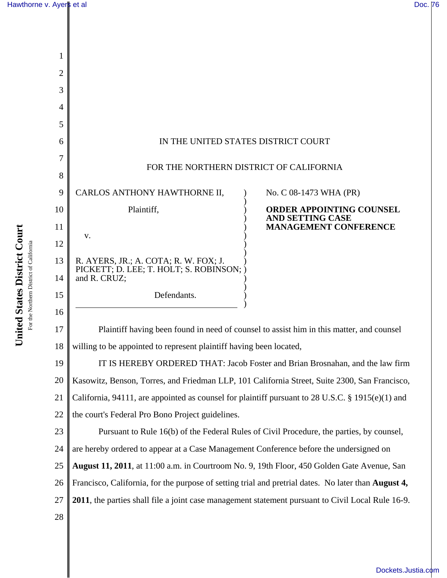